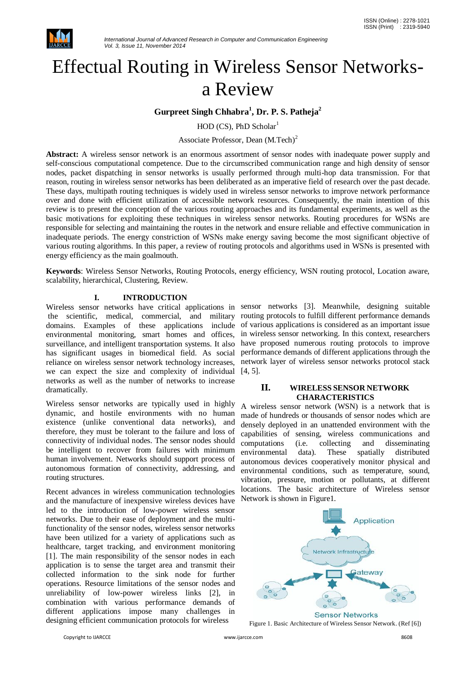

# Effectual Routing in Wireless Sensor Networksa Review

## **Gurpreet Singh Chhabra<sup>1</sup> , Dr. P. S. Patheja<sup>2</sup>**

 $HOD (CS)$ , PhD Scholar<sup>1</sup>

Associate Professor, Dean (M.Tech)<sup>2</sup>

**Abstract:** A wireless sensor network is an enormous assortment of sensor nodes with inadequate power supply and self-conscious computational competence. Due to the circumscribed communication range and high density of sensor nodes, packet dispatching in sensor networks is usually performed through multi-hop data transmission. For that reason, routing in wireless sensor networks has been deliberated as an imperative field of research over the past decade. These days, multipath routing techniques is widely used in wireless sensor networks to improve network performance over and done with efficient utilization of accessible network resources. Consequently, the main intention of this review is to present the conception of the various routing approaches and its fundamental experiments, as well as the basic motivations for exploiting these techniques in wireless sensor networks. Routing procedures for WSNs are responsible for selecting and maintaining the routes in the network and ensure reliable and effective communication in inadequate periods. The energy constriction of WSNs make energy saving become the most significant objective of various routing algorithms. In this paper, a review of routing protocols and algorithms used in WSNs is presented with energy efficiency as the main goalmouth.

**Keywords**: Wireless Sensor Networks, Routing Protocols, energy efficiency, WSN routing protocol, Location aware, scalability, hierarchical, Clustering, Review.

#### **I. INTRODUCTION**

Wireless sensor networks have critical applications in sensor networks [3]. Meanwhile, designing suitable domains. Examples of these applications include of various applications is considered as an important issue environmental monitoring, smart homes and offices, surveillance, and intelligent transportation systems. It also have proposed numerous routing protocols to improve has significant usages in biomedical field. As social performance demands of different applications through the reliance on wireless sensor network technology increases, network layer of wireless sensor networks protocol stack we can expect the size and complexity of individual [4, 5]. networks as well as the number of networks to increase dramatically.

Wireless sensor networks are typically used in highly dynamic, and hostile environments with no human existence (unlike conventional data networks), and therefore, they must be tolerant to the failure and loss of connectivity of individual nodes. The sensor nodes should be intelligent to recover from failures with minimum human involvement. Networks should support process of autonomous formation of connectivity, addressing, and routing structures.

Recent advances in wireless communication technologies and the manufacture of inexpensive wireless devices have led to the introduction of low-power wireless sensor networks. Due to their ease of deployment and the multifunctionality of the sensor nodes, wireless sensor networks have been utilized for a variety of applications such as healthcare, target tracking, and environment monitoring [1]. The main responsibility of the sensor nodes in each application is to sense the target area and transmit their collected information to the sink node for further operations. Resource limitations of the sensor nodes and unreliability of low-power wireless links [2], in combination with various performance demands of different applications impose many challenges in designing efficient communication protocols for wireless

the scientific, medical, commercial, and military routing protocols to fulfill different performance demands in wireless sensor networking. In this context, researchers

#### **II. WIRELESS SENSOR NETWORK CHARACTERISTICS**

A wireless sensor network (WSN) is a network that is made of hundreds or thousands of sensor nodes which are densely deployed in an unattended environment with the capabilities of sensing, wireless communications and computations (i.e. collecting and disseminating environmental data). These spatially distributed autonomous devices cooperatively monitor physical and environmental conditions, such as temperature, sound, vibration, pressure, motion or pollutants, at different locations. The basic architecture of Wireless sensor Network is shown in Figure1.



Figure 1. Basic Architecture of Wireless Sensor Network. (Ref [6])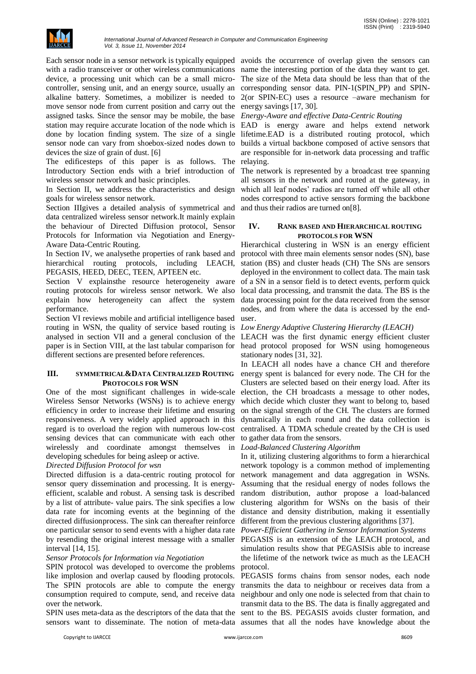

with a radio transceiver or other wireless communications name the interesting portion of the data they want to get. device, a processing unit which can be a small microcontroller, sensing unit, and an energy source, usually an corresponding sensor data. PIN-1(SPIN\_PP) and SPINalkaline battery. Sometimes, a mobilizer is needed to 2(or SPIN-EC) uses a resource –aware mechanism for move sensor node from current position and carry out the energy savings [17, 30]. assigned tasks. Since the sensor may be mobile, the base *Energy-Aware and effective Data-Centric Routing* station may require accurate location of the node which is EAD is energy aware and helps extend network done by location finding system. The size of a single lifetime.EAD is a distributed routing protocol, which sensor node can vary from shoebox-sized nodes down to devices the size of grain of dust. [6]

The edificesteps of this paper is as follows. The relaying. Introductory Section ends with a brief introduction of wireless sensor network and basic principles.

In Section II, we address the characteristics and design goals for wireless sensor network.

Section IIIgives a detailed analysis of symmetrical and data centralized wireless sensor network.It mainly explain the behaviour of Directed Diffusion protocol, Sensor Protocols for Information via Negotiation and Energy-Aware Data-Centric Routing.

In Section IV, we analysethe properties of rank based and hierarchical routing protocols, including LEACH, station (BS) and cluster heads (CH) The SNs are sensors PEGASIS, HEED, DEEC, TEEN, APTEEN etc.

Section V explains the resource heterogeneity aware of a SN in a sensor field is to detect events, perform quick routing protocols for wireless sensor network. We also explain how heterogeneity can affect the system performance.

Section VI reviews mobile and artificial intelligence based routing in WSN, the quality of service based routing is analysed in section VII and a general conclusion of the LEACH was the first dynamic energy efficient cluster paper is in Section VIII, at the last tabular comparison for different sections are presented before references.

#### **III. SYMMETRICAL&DATA CENTRALIZED ROUTING PROTOCOLS FOR WSN**

One of the most significant challenges in wide-scale Wireless Sensor Networks (WSNs) is to achieve energy efficiency in order to increase their lifetime and ensuring responsiveness. A very widely applied approach in this regard is to overload the region with numerous low-cost sensing devices that can communicate with each other wirelessly and coordinate amongst themselves developing schedules for being asleep or active.

#### *Directed Diffusion Protocol for wsn*

sensor query dissemination and processing. It is energyefficient, scalable and robust. A sensing task is described random distribution, author propose a load-balanced by a list of attribute- value pairs. The sink specifies a low data rate for incoming events at the beginning of the distance and density distribution, making it essentially directed diffusionprocess. The sink can thereafter reinforce different from the previous clustering algorithms [37]. one particular sensor to send events with a higher data rate *Power-Efficient Gathering in Sensor Information Systems* by resending the original interest message with a smaller interval [14, 15].

#### *Sensor Protocols for Information via Negotiation*

SPIN protocol was developed to overcome the problems like implosion and overlap caused by flooding protocols. The SPIN protocols are able to compute the energy transmits the data to neighbour or receives data from a consumption required to compute, send, and receive data neighbour and only one node is selected from that chain to over the network.

sensors want to disseminate. The notion of meta-data assumes that all the nodes have knowledge about the

Each sensor node in a sensor network is typically equipped avoids the occurrence of overlap given the sensors can The size of the Meta data should be less than that of the

builds a virtual backbone composed of active sensors that are responsible for in-network data processing and traffic

The network is represented by a broadcast tree spanning all sensors in the network and routed at the gateway, in which all leaf nodes' radios are turned off while all other nodes correspond to active sensors forming the backbone and thus their radios are turned on[8].

#### **IV. RANK BASED AND HIERARCHICAL ROUTING PROTOCOLS FOR WSN**

Hierarchical clustering in WSN is an energy efficient protocol with three main elements sensor nodes (SN), base deployed in the environment to collect data. The main task local data processing, and transmit the data. The BS is the data processing point for the data received from the sensor nodes, and from where the data is accessed by the enduser.

#### *Low Energy Adaptive Clustering Hierarchy (LEACH)*

head protocol proposed for WSN using homogeneous stationary nodes [31, 32].

In LEACH all nodes have a chance CH and therefore energy spent is balanced for every node. The CH for the Clusters are selected based on their energy load. After its election, the CH broadcasts a message to other nodes, which decide which cluster they want to belong to, based on the signal strength of the CH. The clusters are formed dynamically in each round and the data collection is centralised. A TDMA schedule created by the CH is used to gather data from the sensors.

#### *Load-Balanced Clustering Algorithm*

Directed diffusion is a data-centric routing protocol for network management and data aggregation in WSNs. In it, utilizing clustering algorithms to form a hierarchical network topology is a common method of implementing Assuming that the residual energy of nodes follows the clustering algorithm for WSNs on the basis of their

> PEGASIS is an extension of the LEACH protocol, and simulation results show that PEGASISis able to increase the lifetime of the network twice as much as the LEACH protocol.

SPIN uses meta-data as the descriptors of the data that the sent to the BS. PEGASIS avoids cluster formation, and PEGASIS forms chains from sensor nodes, each node transmit data to the BS. The data is finally aggregated and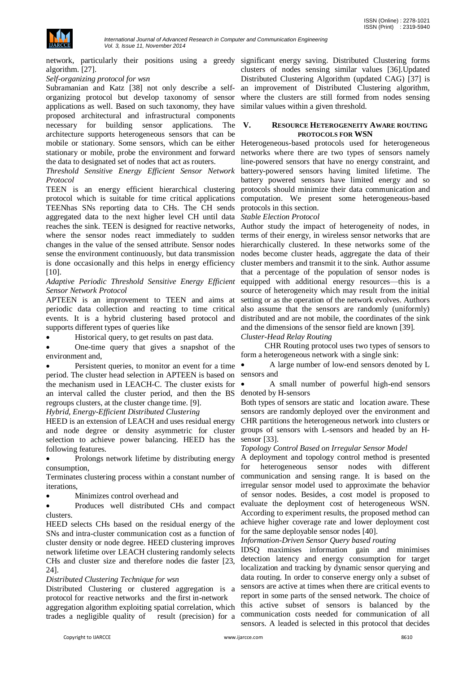

network, particularly their positions using a greedy significant energy saving. Distributed Clustering forms algorithm. [27].

#### *Self-organizing protocol for wsn*

Subramanian and Katz [38] not only describe a selforganizing protocol but develop taxonomy of sensor applications as well. Based on such taxonomy, they have proposed architectural and infrastructural components necessary for building sensor applications. The architecture supports heterogeneous sensors that can be mobile or stationary. Some sensors, which can be either Heterogeneous-based protocols used for heterogeneous stationary or mobile, probe the environment and forward the data to designated set of nodes that act as routers.

#### *Threshold Sensitive Energy Efficient Sensor Network Protocol*

TEEN is an energy efficient hierarchical clustering protocol which is suitable for time critical applications computation. We present some heterogeneous-based TEENhas SNs reporting data to CHs. The CH sends protocols in this section. aggregated data to the next higher level CH until data *Stable Election Protocol* reaches the sink. TEEN is designed for reactive networks, Author study the impact of heterogeneity of nodes, in where the sensor nodes react immediately to sudden terms of their energy, in wireless sensor networks that are changes in the value of the sensed attribute. Sensor nodes hierarchically clustered. In these networks some of the sense the environment continuously, but data transmission nodes become cluster heads, aggregate the data of their is done occasionally and this helps in energy efficiency cluster members and transmit it to the sink. Author assume [10].

## *Sensor Network Protocol*

APTEEN is an improvement to TEEN and aims at periodic data collection and reacting to time critical events. It is a hybrid clustering based protocol and supports different types of queries like

Historical query, to get results on past data.

 One-time query that gives a snapshot of the environment and,

• Persistent queries, to monitor an event for a time period. The cluster head selection in APTEEN is based on the mechanism used in LEACH-C. The cluster exists for an interval called the cluster period, and then the BS regroups clusters, at the cluster change time. [9].

*Hybrid, Energy-Efficient Distributed Clustering*

HEED is an extension of LEACH and uses residual energy and node degree or density asymmetric for cluster selection to achieve power balancing. HEED has the following features.

 Prolongs network lifetime by distributing energy consumption,

Terminates clustering process within a constant number of iterations,

Minimizes control overhead and

 Produces well distributed CHs and compact clusters.

HEED selects CHs based on the residual energy of the SNs and intra-cluster communication cost as a function of cluster density or node degree. HEED clustering improves network lifetime over LEACH clustering randomly selects CHs and cluster size and therefore nodes die faster [23, 24].

#### *Distributed Clustering Technique for wsn*

Distributed Clustering or clustered aggregation is a protocol for reactive networks and the first in-network aggregation algorithm exploiting spatial correlation, which trades a negligible quality of result (precision) for a

clusters of nodes sensing similar values [36].Updated Distributed Clustering Algorithm (updated CAG) [37] is an improvement of Distributed Clustering algorithm, where the clusters are still formed from nodes sensing similar values within a given threshold.

#### **V. RESOURCE HETEROGENEITY AWARE ROUTING PROTOCOLS FOR WSN**

networks where there are two types of sensors namely line-powered sensors that have no energy constraint, and battery-powered sensors having limited lifetime. The battery powered sensors have limited energy and so protocols should minimize their data communication and

Adaptive Periodic Threshold Sensitive Energy Efficient equipped with additional energy resources—this is a that a percentage of the population of sensor nodes is source of heterogeneity which may result from the initial setting or as the operation of the network evolves. Authors also assume that the sensors are randomly (uniformly) distributed and are not mobile, the coordinates of the sink and the dimensions of the sensor field are known [39].

#### *Cluster-Head Relay Routing*

 CHR Routing protocol uses two types of sensors to form a heterogeneous network with a single sink:

 A large number of low-end sensors denoted by L sensors and

 A small number of powerful high-end sensors denoted by H-sensors

Both types of sensors are static and location aware. These sensors are randomly deployed over the environment and CHR partitions the heterogeneous network into clusters or groups of sensors with L-sensors and headed by an Hsensor [33].

#### *Topology Control Based on Irregular Sensor Model*

A deployment and topology control method is presented for heterogeneous sensor nodes with different communication and sensing range. It is based on the irregular sensor model used to approximate the behavior of sensor nodes. Besides, a cost model is proposed to evaluate the deployment cost of heterogeneous WSN. According to experiment results, the proposed method can achieve higher coverage rate and lower deployment cost for the same deployable sensor nodes [40].

#### *Information-Driven Sensor Query based routing*

IDSQ maximises information gain and minimises detection latency and energy consumption for target localization and tracking by dynamic sensor querying and data routing. In order to conserve energy only a subset of sensors are active at times when there are critical events to report in some parts of the sensed network. The choice of this active subset of sensors is balanced by the communication costs needed for communication of all sensors. A leaded is selected in this protocol that decides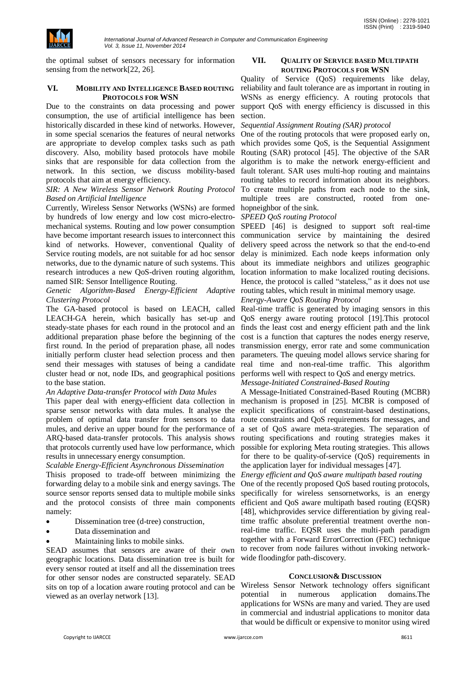

the optimal subset of sensors necessary for information sensing from the network<sup>[22, 26]</sup>.

#### **VI. MOBILITY AND INTELLIGENCE BASED ROUTING PROTOCOLS FOR WSN**

Due to the constraints on data processing and power consumption, the use of artificial intelligence has been historically discarded in these kind of networks. However, in some special scenarios the features of neural networks are appropriate to develop complex tasks such as path discovery. Also, mobility based protocols have mobile sinks that are responsible for data collection from the network. In this section, we discuss mobility-based protocols that aim at energy efficiency.

#### *SIR: A New Wireless Sensor Network Routing Protocol Based on Artificial Intelligence*

Currently, Wireless Sensor Networks (WSNs) are formed by hundreds of low energy and low cost micro-electromechanical systems. Routing and low power consumption SPEED [46] is designed to support soft real-time have become important research issues to interconnect this kind of networks. However, conventional Quality of Service routing models, are not suitable for ad hoc sensor networks, due to the dynamic nature of such systems. This research introduces a new QoS-driven routing algorithm, named SIR: Sensor Intelligence Routing.

#### Genetic Algorithm-Based Energy-Efficient Adaptive routing tables, which result in minimal memory usage. *Clustering Protocol*

The GA-based protocol is based on LEACH, called LEACH-GA herein, which basically has set-up and steady-state phases for each round in the protocol and an additional preparation phase before the beginning of the first round. In the period of preparation phase, all nodes initially perform cluster head selection process and then send their messages with statuses of being a candidate real time and non-real-time traffic. This algorithm cluster head or not, node IDs, and geographical positions to the base station.

#### *An Adaptive Data-transfer Protocol with Data Mules*

This paper deal with energy-efficient data collection in sparse sensor networks with data mules. It analyse the problem of optimal data transfer from sensors to data mules, and derive an upper bound for the performance of ARQ-based data-transfer protocols. This analysis shows that protocols currently used have low performance, which results in unnecessary energy consumption.

#### *Scalable Energy-Efficient Asynchronous Dissemination*

Thisis proposed to trade-off between minimizing the forwarding delay to a mobile sink and energy savings. The source sensor reports sensed data to multiple mobile sinks and the protocol consists of three main components namely:

- Dissemination tree (d-tree) construction,
- Data dissemination and
- Maintaining links to mobile sinks.

SEAD assumes that sensors are aware of their own geographic locations. Data dissemination tree is built for every sensor routed at itself and all the dissemination trees for other sensor nodes are constructed separately. SEAD sits on top of a location aware routing protocol and can be viewed as an overlay network [13].

#### **VII. QUALITY OF SERVICE BASED MULTIPATH ROUTING PROTOCOLS FOR WSN**

Quality of Service (QoS) requirements like delay, reliability and fault tolerance are as important in routing in WSNs as energy efficiency. A routing protocols that support QoS with energy efficiency is discussed in this section.

#### *Sequential Assignment Routing (SAR) protocol*

One of the routing protocols that were proposed early on, which provides some QoS, is the Sequential Assignment Routing (SAR) protocol [45]. The objective of the SAR algorithm is to make the network energy-efficient and fault tolerant. SAR uses multi-hop routing and maintains routing tables to record information about its neighbors. To create multiple paths from each node to the sink, multiple trees are constructed, rooted from onehopneighbor of the sink.

#### *SPEED QoS routing Protocol*

communication service by maintaining the desired delivery speed across the network so that the end-to-end delay is minimized. Each node keeps information only about its immediate neighbors and utilizes geographic location information to make localized routing decisions. Hence, the protocol is called "stateless," as it does not use

#### *Energy-Aware QoS Routing Protocol*

Real-time traffic is generated by imaging sensors in this QoS energy aware routing protocol [19].This protocol finds the least cost and energy efficient path and the link cost is a function that captures the nodes energy reserve, transmission energy, error rate and some communication parameters. The queuing model allows service sharing for performs well with respect to QoS and energy metrics.

### *Message-Initiated Constrained-Based Routing*

A Message-Initiated Constrained-Based Routing (MCBR) mechanism is proposed in [25]. MCBR is composed of explicit specifications of constraint-based destinations, route constraints and QoS requirements for messages, and a set of QoS aware meta-strategies. The separation of routing specifications and routing strategies makes it possible for exploring Meta routing strategies. This allows for there to be quality-of-service (QoS) requirements in the application layer for individual messages [47].

*Energy efficient and QoS aware multipath based routing*

One of the recently proposed QoS based routing protocols, specifically for wireless sensornetworks, is an energy efficient and QoS aware multipath based routing (EQSR) [48], whichprovides service differentiation by giving realtime traffic absolute preferential treatment overthe nonreal-time traffic. EQSR uses the multi-path paradigm together with a Forward ErrorCorrection (FEC) technique to recover from node failures without invoking networkwide floodingfor path-discovery.

#### **CONCLUSION& DISCUSSION**

Wireless Sensor Network technology offers significant potential in numerous application domains.The applications for WSNs are many and varied. They are used in commercial and industrial applications to monitor data that would be difficult or expensive to monitor using wired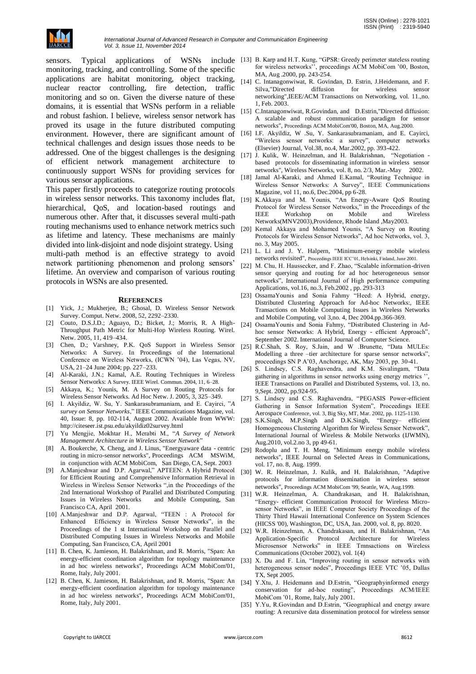

monitoring, tracking, and controlling. Some of the specific applications are habitat monitoring, object tracking, nuclear reactor controlling, fire detection, traffic monitoring and so on. Given the diverse nature of these domains, it is essential that WSNs perform in a reliable and robust fashion. I believe, wireless sensor network has proved its usage in the future distributed computing environment. However, there are significant amount of technical challenges and design issues those needs to be addressed. One of the biggest challenges is the designing of efficient network management architecture to continuously support WSNs for providing services for various sensor applications.

This paper firstly proceeds to categorize routing protocols in wireless sensor networks. This taxonomy includes flat, hierarchical, QoS, and location-based routings and numerous other. After that, it discusses several multi-path routing mechanisms used to enhance network metrics such as lifetime and latency. These mechanisms are mainly divided into link-disjoint and node disjoint strategy. Using multi-path method is an effective strategy to avoid network partitioning phenomenon and prolong sensors' lifetime. An overview and comparison of various routing protocols in WSNs are also presented.

#### **REFERENCES**

- [1] Yick, J.; Mukherjee, B.; Ghosal, D. Wireless Sensor Network Survey. Comput. Netw. 2008, 52, 2292–2330.
- [2] Couto, D.S.J.D.; Aguayo, D.; Bicket, J.; Morris, R. A High-Throughput Path Metric for Multi-Hop Wireless Routing. Wirel. Netw. 2005, 11, 419–434.
- [3] Chen, D.; Varshney, P.K. QoS Support in Wireless Sensor Networks: A Survey. In Proceedings of the International Conference on Wireless Networks, (ICWN '04), Las Vegas, NV, USA, 21–24 June 2004; pp. 227–233.
- [4] Al-Karaki, J.N.; Kamal, A.E. Routing Techniques in Wireless Sensor Networks: A Survey. IEEE Wirel. Commun. 2004, 11, 6–28.
- [5] Akkaya, K.; Younis, M. A Survey on Routing Protocols for Wireless Sensor Networks. Ad Hoc Netw. J. 2005, 3, 325–349.
- [6] I. Akyildiz, W. Su, Y. Sankarasubramaniam, and E. Cayirci, "A *survey on Sensor Networks*,‖ IEEE Communications Magazine, vol. 40, Issue: 8, pp. 102-114, August 2002. Available from WWW: http://citeseer.ist.psu.edu/akyildiz02survey.html
- [7] Yu Mengjie, Mokhtar H., Merabti M., ―*A Survey of Network Management Architecture in Wireless Sensor Network*‖
- [8] A. Boukerche, X. Cheng, and J. Linus, "Energyaware data centric routing in micro-sensor networks", Proceedings ACM MSWiM, in conjunction with ACM MobiCom, San Diego, CA, Sept. 2003
- [9] A.Manjeshwar and D.P. Agarwal," APTEEN: A Hybrid Protocol for Efficient Routing and Comprehensive Information Retrieval in Wireless in Wireless Sensor Networks ",in the Proceedings of the 2nd International Workshop of Parallel and Distributed Computing Issues in Wireless Networks and Mobile Computing, San Francisco CA, April 2001.
- [10] A.Manjeshwar and D.P. Agarwal, "TEEN : A Protocol for Enhanced Efficiency in Wireless Sensor Networks", in the Proceedings of the 1 st International Workshop on Parallel and Distributed Computing Issues in Wireless Networks and Mobile Computing, San Francisco, CA, April 2001
- [11] B. Chen, K. Jamieson, H. Balakrishnan, and R. Morris, "Span: An energy-efficient coordination algorithm for topology maintenance in ad hoc wireless networks", Proceedings ACM MobiCom'01, Rome, Italy, July 2001.
- [12] B. Chen, K. Jamieson, H. Balakrishnan, and R. Morris, "Span: An energy-efficient coordination algorithm for topology maintenance in ad hoc wireless networks", Proceedings ACM MobiCom'01, Rome, Italy, July 2001.
- sensors. Typical applications of WSNs include [13] B. Karp and H.T. Kung, "GPSR: Greedy perimeter stateless routing for wireless networks'', proceedings ACM MobiCom '00, Boston, MA, Aug .2000, pp. 243-254.
	- [14] C. Intanagonwiwat, R. Govindan, D. Estrin, J.Heidemann, and F. Silva,"Directed diffusion for wireless sensor networking",IEEE/ACM Transactions on Networking, vol. 11.,no. 1, Feb. 2003.
	- [15] C.Intanagonwiwat, R.Govindan, and D.Estrin, "Directed diffusion: A scalable and robust communication paradigm for sensor networks", Proceedings ACM MobiCom'00, Boston, MA, Aug.2000.
	- [16] I.F. Akyildiz, W .Su, Y. Sankarasubramaniam, and E. Cayirci, "Wireless sensor networks: a survey", computer networks (Elsevier) Journal, Vol.38, no.4, Mar.2002, pp. 393-422.
	- [17] J. Kulik, W. Heinzelman, and H. Balakrishnan, "Negotiation based protocols for disseminating information in wireless sensor networks", Wireless Networks, vol. 8, no. 2/3, Mar.-May 2002.
	- [18] Jamal Al-Karaki, and Ahmed E.Kamal, "Routing Technique in Wireless Sensor Networks: A Survey", IEEE Communications Magazine, vol 11, no.6, Dec.2004, pp 6-28.
	- [19] K.Akkaya and M. Younis, "An Energy-Aware QoS Routing Protocol for Wireless Sensor Networks," in the Proceedings of the IEEE Workshop on Mobile and Wireless Networks(MNV2003),Providence, Rhode Island ,May2003.
	- [20] Kemal Akkaya and Mohamed Younis, "A Survey on Routing Protocols for Wireless Sensor Networks". Ad hoc Networks, vol. 3, no. 3, May 2005.
	- [21] L. Li and J. Y. Halpern, "Minimum-energy mobile wireless networks revisited", Proceedings IEEE ICC'01, Helsinki, Finland, June 2001.
	- [22] M. Chu, H. Haussecker, and F. Zhao, "Scalable information-driven sensor querying and routing for ad hoc heterogeneous sensor networks", International Journal of High performance computing Applications, vol.16, no.3, Feb.2002 , pp. 293-313
	- [23] OssamaYounis and Sonia Fahmy "Heed: A Hybrid, energy, Distributed Clustering Approach for Ad-hoc Networks:, IEEE Transactions on Mobile Computing Issues in Wireless Networks and Mobile Computing, vol 3,no. 4, Dec 2004.pp.366-369.
	- [24] OssamaYounis and Sonia Fahmy, "Distributed Clustering in Adhoc sensor Networks: A Hybrid, Energy - efficient Approach", September 2002. International Journal of Computer Science.
	- [25] R.C.Shah, S. Roy, S.Jain, and W .Brunette, "Data MULEs: Modelling a three -tier architecture for sparse sensor networks", proceedings SN P A'03, Anchorage, AK, May 2003, pp. 30-41.
	- [26] S. Lindsey, C.S. Raghavendra, and K.M. Sivalingam, "Data gathering in algorithms in sensor networks using energy metrics ' IEEE Transactions on Parallel and Distributed Systems, vol. 13, no. 9,Sept. 2002, pp.924-95.
	- [27] S. Lindsey and C.S. Raghavendra, "PEGASIS Power-efficient Gathering in Sensor Information System", Proceedings IEEE Aerospace Conference, vol. 3, Big Sky, MT, Mar. 2002, pp. 1125-1130.
	- [28] S.K.Singh, M.P.Singh and D.K.Singh, "Energy- efficient Homogeneous Clustering Algorithm for Wireless Sensor Network", International Journal of Wireless & Mobile Networks (IJWMN), Aug.2010, vol.2.no 3, pp 49-61.
	- [29] Rodoplu and T. H. Meng, "Minimum energy mobile wireless networks", IEEE Journal on Selected Areas in Communications, vol. 17, no. 8, Aug. 1999.
	- [30] W. R. Heinzelman, J. Kulik, and H. Balakrishnan, "Adaptive protocols for information dissemination in wireless sensor networks", Proceedings ACM MobiCom '99, Seattle, WA, Aug.1999.
	- [31] W.R. Heinzelman, A. Chandrakasan, and H. Balakrishnan, ―Energy- efficient Communication Protocol for Wireless Microsensor Networks", in IEEE Computer Society Proceedings of the Thirty Third Hawaii International Conference on System Sciences (HICSS '00), Washington, DC, USA, Jan. 2000, vol. 8, pp. 8020.
	- [32] W.R. Heinzelman, A. Chandrakasan, and H. Balakrishnan, "An Application-Specific Protocol Architecture for Wireless Microsensor Networks" in IEEE Tmnsactions on Wireless Communications (October 2002), vol. 1(4)
	- [33] X. Du and F. Lin, "Improving routing in sensor networks with heterogeneous sensor nodes", Proceedings IEEE VTC '05, Dallas TX, Sept 2005.
	- [34] Y.Xtu, J. Heidemann and D.Estrin, "Geographyinformed energy conservation for ad-hoc routing", Proceedings ACM/IEEE MobiCom '01, Rome, Italy, July 2001.
	- [35] Y.Yu, R.Govindan and D.Estrin, "Geographical and energy aware routing: A recursive data dissemination protocol for wireless sensor